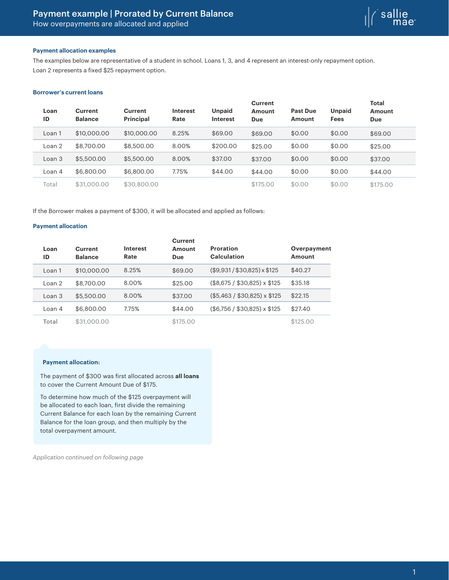

## **Payment allocation examples**

The examples below are representative of a student in school. Loans 1, 3, and 4 represent an interest-only repayment option. Loan 2 represents a fixed \$25 repayment option.

#### **Borrower's current loans**

| Loan<br>ID | <b>Current</b><br><b>Balance</b> | <b>Current</b><br><b>Principal</b> | <b>Interest</b><br>Rate | <b>Unpaid</b><br><b>Interest</b> | <b>Current</b><br><b>Amount</b><br>Due | <b>Past Due</b><br>Amount | <b>Unpaid</b><br><b>Fees</b> | <b>Total</b><br>Amount<br><b>Due</b> |  |
|------------|----------------------------------|------------------------------------|-------------------------|----------------------------------|----------------------------------------|---------------------------|------------------------------|--------------------------------------|--|
| Loan 1     | \$10,000,00                      | \$10,000.00                        | 8.25%                   | \$69.00                          | \$69.00                                | \$0.00                    | \$0.00                       | \$69.00                              |  |
| Loan 2     | \$8,700.00                       | \$8,500.00                         | 8.00%                   | \$200.00                         | \$25.00                                | \$0.00                    | \$0.00                       | \$25.00                              |  |
| Loan 3     | \$5,500.00                       | \$5,500,00                         | 8.00%                   | \$37.00                          | \$37.00                                | \$0.00                    | \$0.00                       | \$37.00                              |  |
| Loan 4     | \$6,800.00                       | \$6,800,00                         | 7.75%                   | \$44.00                          | \$44.00                                | \$0.00                    | \$0.00                       | \$44.00                              |  |
| Total      | \$31,000,00                      | \$30,800,00                        |                         |                                  | \$175.00                               | \$0.00                    | \$0.00                       | \$175.00                             |  |

If the Borrower makes a payment of \$300, it will be allocated and applied as follows:

## **Payment allocation**

| Loan<br>ID | Current<br><b>Balance</b> | <b>Interest</b><br>Rate | Current<br>Amount<br>Due | <b>Proration</b><br>Calculation  | Overpayment<br>Amount |
|------------|---------------------------|-------------------------|--------------------------|----------------------------------|-----------------------|
| Loan 1     | \$10,000,00               | 8.25%                   | \$69.00                  | $($9,931 / $30,825) \times $125$ | \$40.27               |
| Loan 2     | \$8,700.00                | 8.00%                   | \$25.00                  | $($8,675 / $30,825) \times $125$ | \$35.18               |
| Loan 3     | \$5,500.00                | 8.00%                   | \$37.00                  | $($5,463 / $30,825) \times $125$ | \$22.15               |
| Loan 4     | \$6,800.00                | 7.75%                   | \$44.00                  | $($6,756 / $30,825) \times $125$ | \$27.40               |
| Total      | \$31,000,00               |                         | \$175.00                 |                                  | \$125.00              |

# **Payment allocation:**

The payment of \$300 was first allocated across **all loans** to cover the Current Amount Due of \$175.

To determine how much of the \$125 overpayment will be allocated to each loan, first divide the remaining Current Balance for each loan by the remaining Current Balance for the loan group, and then multiply by the total overpayment amount.

*Application continued on following page*